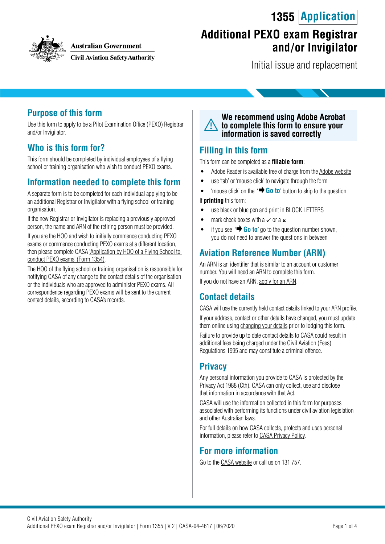# **1355 Application**



**Australian Government** 

**Civil Aviation Safety Authority** 

## **Additional PEXO exam Registrar and / or Invigilator**

Initial issue and replacement

#### **Purpose of this form**

Use this form to apply to be a Pilot Examination Office (PEXO) Registrar and/or Invigilator.

#### **Who is this form for?**

This form should be completed by individual employees of a flying school or training organisation who wish to conduct PEXO exams.

#### **Information needed to complete this form**

A separate form is to be completed for each individual applying to be an additional Registrar or Invigilator with a flying school or training organisation.

If the new Registrar or Invigilator is replacing a previously approved person, the name and ARN of the retiring person must be provided.

If you are the HOO and wish to initially commence conducting PEXO exams or commence conducting PEXO exams at a different location, then please complete CASA ['Application by HOO of a Flying School to](https://www.casa.gov.au/publications-and-resources/forms-and-templates)  [conduct PEXO exams' \(Form 1354\).](https://www.casa.gov.au/publications-and-resources/forms-and-templates)

The HOO of the flying school or training organisation is responsible for notifying CASA of any change to the contact details of the organisation or the individuals who are approved to administer PEXO exams. All correspondence regarding PEXO exams will be sent to the current contact details, according to CASA's records.

**We recommend using Adobe Acrobat to complete this form to ensure your information is saved correctly**

#### **Filling in this form**

This form can be completed as a **fillable form**:

- Adobe Reader is available free of charge from the [Adobe website](https://get.adobe.com/reader/)
- use 'tab' or 'mouse click' to navigate through the form
- 'mouse click' on the '**+ Go to**' button to skip to the question If **printing** this form:
- 
- use black or blue pen and print in BLOCK LETTERS
- mark check boxes with a  $\times$  or a  $\times$
- if you see  $\rightarrow$  **Go to**' go to the question number shown, you do not need to answer the questions in between

### **Aviation Reference Number (ARN)**

An ARN is an identifier that is similar to an account or customer number. You will need an ARN to complete this form. If you do not have an ARN, [apply for an ARN](https://www.casa.gov.au/licences-and-certification/individual-licensing/applying-aviation-reference-number-arn).

#### **Contact details**

CASA will use the currently held contact details linked to your ARN profile. If your address, contact or other details have changed, you must update them online using [changing your details](https://www.casa.gov.au/licences-and-certification/individual-licensing/licence-information/changing-your-details) prior to lodging this form.

Failure to provide up to date contact details to CASA could result in additional fees being charged under the Civil Aviation (Fees) Regulations 1995 and may constitute a criminal offence.

### **Privacy**

Any personal information you provide to CASA is protected by the Privacy Act 1988 (Cth). CASA can only collect, use and disclose that information in accordance with that Act.

CASA will use the information collected in this form for purposes associated with performing its functions under civil aviation legislation and other Australian laws.

For full details on how CASA collects, protects and uses personal information, please refer to [CASA Privacy Policy](http://www.casa.gov.au/privacy-policy).

#### **For more information**

Go to the [CASA website](http://www.casa.gov.au) or call us on 131 757.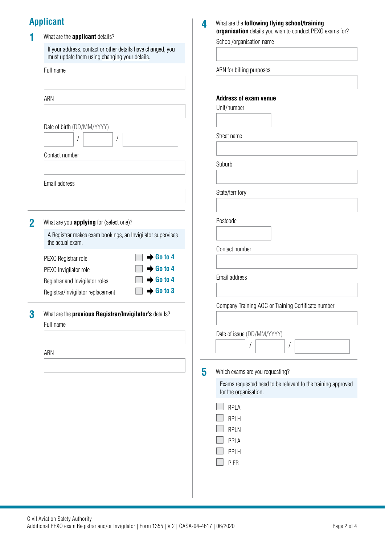### **Applicant**

|             | <b>Applicant</b>                                                                                             | 4 | What are the following flying school/training<br>organisation details you wish to conduct PEXO exams for? |
|-------------|--------------------------------------------------------------------------------------------------------------|---|-----------------------------------------------------------------------------------------------------------|
|             | What are the applicant details?                                                                              |   | School/organisation name                                                                                  |
|             | If your address, contact or other details have changed, you<br>must update them using changing your details. |   |                                                                                                           |
|             | Full name                                                                                                    |   | ARN for billing purposes                                                                                  |
|             |                                                                                                              |   |                                                                                                           |
|             | ARN                                                                                                          |   | <b>Address of exam venue</b><br>Unit/number                                                               |
|             |                                                                                                              |   |                                                                                                           |
|             | Date of birth (DD/MM/YYYY)                                                                                   |   | Street name                                                                                               |
|             | Contact number                                                                                               |   |                                                                                                           |
|             |                                                                                                              |   | Suburb                                                                                                    |
|             | Email address                                                                                                |   | State/territory                                                                                           |
|             |                                                                                                              |   |                                                                                                           |
| $\mathbf 2$ | What are you <b>applying</b> for (select one)?                                                               |   | Postcode                                                                                                  |
|             | A Registrar makes exam bookings, an Invigilator supervises<br>the actual exam.                               |   | Contact number                                                                                            |
|             | $\rightarrow$ Go to 4<br>PEXO Registrar role                                                                 |   |                                                                                                           |
|             | $\rightarrow$ Go to 4<br>PEXO Invigilator role                                                               |   | Email address                                                                                             |
|             | $\rightarrow$ Go to 4<br>Registrar and Invigilator roles<br>$\rightarrow$ Go to 3                            |   |                                                                                                           |
|             | Registrar/Invigilator replacement                                                                            |   |                                                                                                           |
| 3           | What are the previous Registrar/Invigilator's details?                                                       |   | Company Training AOC or Training Certificate number                                                       |
|             | Full name                                                                                                    |   |                                                                                                           |
|             |                                                                                                              |   | Date of issue (DD/MM/YYYY)                                                                                |
|             | ARN                                                                                                          |   | 1                                                                                                         |
|             |                                                                                                              | 5 | Which exams are you requesting?                                                                           |
|             |                                                                                                              |   | Exams requested need to be relevant to the training approved<br>for the organisation.                     |
|             |                                                                                                              |   |                                                                                                           |
|             |                                                                                                              |   | RPLA<br><b>RPLH</b>                                                                                       |
|             |                                                                                                              |   | <b>RPLN</b>                                                                                               |
|             |                                                                                                              |   | PPLA                                                                                                      |
|             |                                                                                                              |   | PPLH                                                                                                      |
|             |                                                                                                              |   | <b>PIFR</b>                                                                                               |
|             |                                                                                                              |   |                                                                                                           |
|             |                                                                                                              |   |                                                                                                           |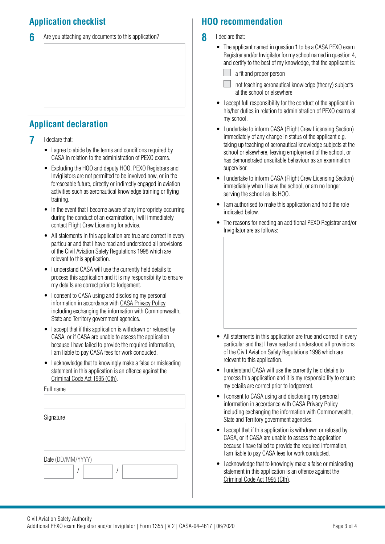### **Application checklist**

**6** Are you attaching any documents to this application?

### **Applicant declaration**

- **7** I declare that:
	- I agree to abide by the terms and conditions required by CASA in relation to the administration of PEXO exams.
	- Excluding the HOO and deputy HOO, PEXO Registrars and Invigilators are not permitted to be involved now, or in the foreseeable future, directly or indirectly engaged in aviation activities such as aeronautical knowledge training or flying training.
	- In the event that I become aware of any impropriety occurring during the conduct of an examination, I will immediately contact Flight Crew Licensing for advice.
	- All statements in this application are true and correct in every particular and that I have read and understood all provisions of the Civil Aviation Safety Regulations 1998 which are relevant to this application.
	- I understand CASA will use the currently held details to process this application and it is my responsibility to ensure my details are correct prior to lodgement.
	- I consent to CASA using and disclosing my personal information in accordance with [CASA Privacy Policy](http://www.casa.gov.au/privacy-policy) including exchanging the information with Commonwealth, State and Territory government agencies.
	- I accept that if this application is withdrawn or refused by CASA, or if CASA are unable to assess the application because I have failed to provide the required information, I am liable to pay CASA fees for work conducted.
	- I acknowledge that to knowingly make a false or misleading statement in this application is an offence against the [Criminal Code Act 1995 \(Cth\)](https://www.legislation.gov.au/Details/C2018C00244).

Full name

| Signature         |  |  |  |  |  |  |
|-------------------|--|--|--|--|--|--|
|                   |  |  |  |  |  |  |
|                   |  |  |  |  |  |  |
|                   |  |  |  |  |  |  |
| Date (DD/MM/YYYY) |  |  |  |  |  |  |
|                   |  |  |  |  |  |  |
|                   |  |  |  |  |  |  |

### **HOO recommendation**

- **8** I declare that:
	- The applicant named in question 1 to be a CASA PEXO exam Registrar and/or Invigilator for my school named in question 4, and certify to the best of my knowledge, that the applicant is:
		- a fit and proper person
		- not teaching aeronautical knowledge (theory) subjects at the school or elsewhere
	- I accept full responsibility for the conduct of the applicant in his/her duties in relation to administration of PEXO exams at my school.
	- I undertake to inform CASA (Flight Crew Licensing Section) immediately of any change in status of the applicant e.g. taking up teaching of aeronautical knowledge subjects at the school or elsewhere, leaving employment of the school, or has demonstrated unsuitable behaviour as an examination supervisor.
	- I undertake to inform CASA (Flight Crew Licensing Section) immediately when I leave the school, or am no longer serving the school as its HOO.
	- I am authorised to make this application and hold the role indicated below.
	- The reasons for needing an additional PEXO Registrar and/or Invigilator are as follows:



- All statements in this application are true and correct in every particular and that I have read and understood all provisions of the Civil Aviation Safety Regulations 1998 which are relevant to this application.
- I understand CASA will use the currently held details to process this application and it is my responsibility to ensure my details are correct prior to lodgement.
- I consent to CASA using and disclosing my personal information in accordance with [CASA Privacy Policy](http://www.casa.gov.au/privacy-policy) including exchanging the information with Commonwealth, State and Territory government agencies.
- I accept that if this application is withdrawn or refused by CASA, or if CASA are unable to assess the application because I have failed to provide the required information, I am liable to pay CASA fees for work conducted.
- I acknowledge that to knowingly make a false or misleading statement in this application is an offence against the [Criminal Code Act 1995 \(Cth\).](https://www.legislation.gov.au/Details/C2018C00244)